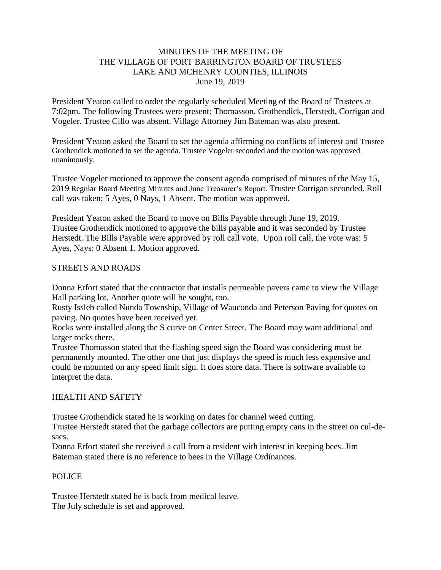## MINUTES OF THE MEETING OF THE VILLAGE OF PORT BARRINGTON BOARD OF TRUSTEES LAKE AND MCHENRY COUNTIES, ILLINOIS June 19, 2019

President Yeaton called to order the regularly scheduled Meeting of the Board of Trustees at 7:02pm. The following Trustees were present: Thomasson, Grothendick, Herstedt, Corrigan and Vogeler. Trustee Cillo was absent. Village Attorney Jim Bateman was also present.

President Yeaton asked the Board to set the agenda affirming no conflicts of interest and Trustee Grothendick motioned to set the agenda. Trustee Vogeler seconded and the motion was approved unanimously.

Trustee Vogeler motioned to approve the consent agenda comprised of minutes of the May 15, 2019 Regular Board Meeting Minutes and June Treasurer's Report. Trustee Corrigan seconded. Roll call was taken; 5 Ayes, 0 Nays, 1 Absent. The motion was approved.

President Yeaton asked the Board to move on Bills Payable through June 19, 2019. Trustee Grothendick motioned to approve the bills payable and it was seconded by Trustee Herstedt. The Bills Payable were approved by roll call vote. Upon roll call, the vote was: 5 Ayes, Nays: 0 Absent 1. Motion approved.

#### STREETS AND ROADS

Donna Erfort stated that the contractor that installs permeable pavers came to view the Village Hall parking lot. Another quote will be sought, too.

Rusty Issleb called Nunda Township, Village of Wauconda and Peterson Paving for quotes on paving. No quotes have been received yet.

Rocks were installed along the S curve on Center Street. The Board may want additional and larger rocks there.

Trustee Thomasson stated that the flashing speed sign the Board was considering must be permanently mounted. The other one that just displays the speed is much less expensive and could be mounted on any speed limit sign. It does store data. There is software available to interpret the data.

#### HEALTH AND SAFETY

Trustee Grothendick stated he is working on dates for channel weed cutting.

Trustee Herstedt stated that the garbage collectors are putting empty cans in the street on cul-desacs.

Donna Erfort stated she received a call from a resident with interest in keeping bees. Jim Bateman stated there is no reference to bees in the Village Ordinances.

#### POLICE

Trustee Herstedt stated he is back from medical leave. The July schedule is set and approved.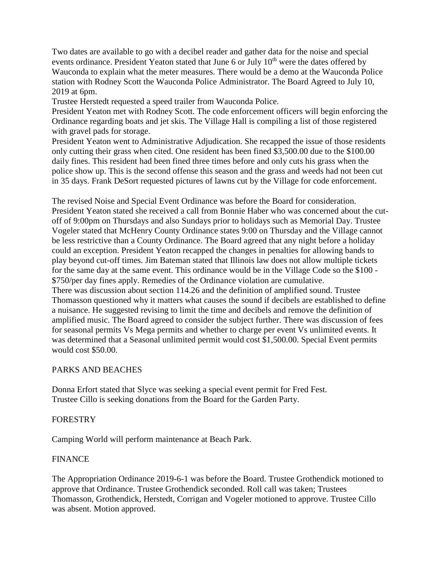Two dates are available to go with a decibel reader and gather data for the noise and special events ordinance. President Yeaton stated that June 6 or July  $10<sup>th</sup>$  were the dates offered by Wauconda to explain what the meter measures. There would be a demo at the Wauconda Police station with Rodney Scott the Wauconda Police Administrator. The Board Agreed to July 10, 2019 at 6pm.

Trustee Herstedt requested a speed trailer from Wauconda Police.

President Yeaton met with Rodney Scott. The code enforcement officers will begin enforcing the Ordinance regarding boats and jet skis. The Village Hall is compiling a list of those registered with gravel pads for storage.

President Yeaton went to Administrative Adjudication. She recapped the issue of those residents only cutting their grass when cited. One resident has been fined \$3,500.00 due to the \$100.00 daily fines. This resident had been fined three times before and only cuts his grass when the police show up. This is the second offense this season and the grass and weeds had not been cut in 35 days. Frank DeSort requested pictures of lawns cut by the Village for code enforcement.

The revised Noise and Special Event Ordinance was before the Board for consideration. President Yeaton stated she received a call from Bonnie Haber who was concerned about the cutoff of 9:00pm on Thursdays and also Sundays prior to holidays such as Memorial Day. Trustee Vogeler stated that McHenry County Ordinance states 9:00 on Thursday and the Village cannot be less restrictive than a County Ordinance. The Board agreed that any night before a holiday could an exception. President Yeaton recapped the changes in penalties for allowing bands to play beyond cut-off times. Jim Bateman stated that Illinois law does not allow multiple tickets for the same day at the same event. This ordinance would be in the Village Code so the \$100 - \$750/per day fines apply. Remedies of the Ordinance violation are cumulative. There was discussion about section 114.26 and the definition of amplified sound. Trustee Thomasson questioned why it matters what causes the sound if decibels are established to define a nuisance. He suggested revising to limit the time and decibels and remove the definition of amplified music. The Board agreed to consider the subject further. There was discussion of fees for seasonal permits Vs Mega permits and whether to charge per event Vs unlimited events. It was determined that a Seasonal unlimited permit would cost \$1,500.00. Special Event permits would cost \$50.00.

#### PARKS AND BEACHES

Donna Erfort stated that Slyce was seeking a special event permit for Fred Fest. Trustee Cillo is seeking donations from the Board for the Garden Party.

#### FORESTRY

Camping World will perform maintenance at Beach Park.

## FINANCE

The Appropriation Ordinance 2019-6-1 was before the Board. Trustee Grothendick motioned to approve that Ordinance. Trustee Grothendick seconded. Roll call was taken; Trustees Thomasson, Grothendick, Herstedt, Corrigan and Vogeler motioned to approve. Trustee Cillo was absent. Motion approved.